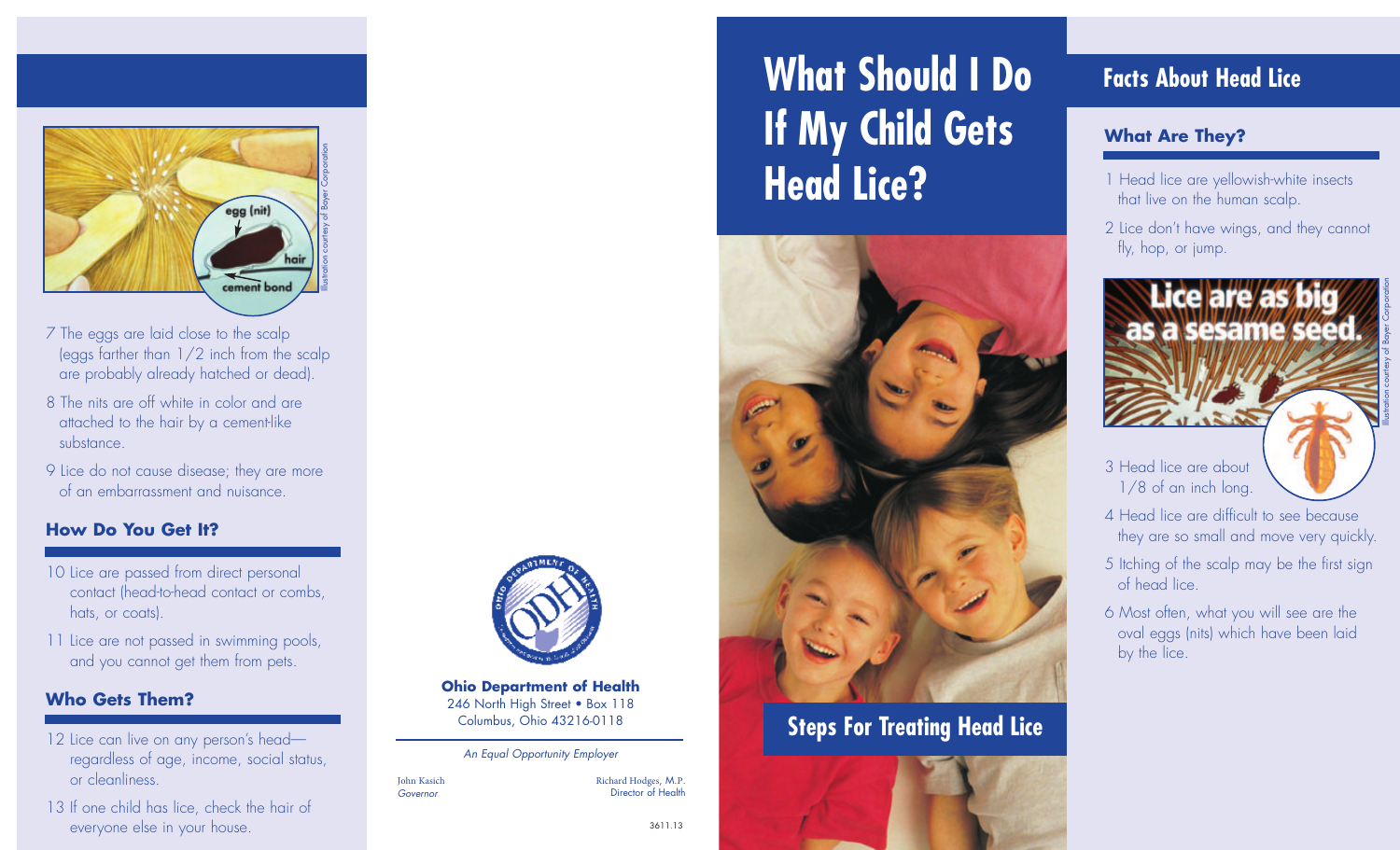

- 7 The eggs are laid close to the scalp (eggs farther than 1/2 inch from the scalp are probably already hatched or dead).
- 8 The nits are off white in color and are attached to the hair by a cement-like substance.
- 9 Lice do not cause disease; they are more of an embarrassment and nuisance.

#### **How Do You Get It?**

- 10 Lice are passed from direct personal contact (head-to-head contact or combs, hats, or coats).
- 11 Lice are not passed in swimming pools, and you cannot get them from pets.

#### **Who Gets Them?**

- 12 Lice can live on any person's headregardless of age, income, social status, or cleanliness.
- 13 If one child has lice, check the hair of everyone else in your house.



**Ohio Department of Health** 246 North High Street • Box 118 Columbus, Ohio 43216-0118

#### An Equal Opportunity Employer

John Kasich Governor

Richard Hodges, M.P. Director of Health

3611.13

# **What Should I Do Facts About Head Lice If My Child Gets Head Lice?**



# **Steps For Treating Head Lice**



#### **What Are They?**

- 1 Head lice are yellowish-white insects that live on the human scalp.
- 2 Lice don't have wings, and they cannot fly, hop, or jump.



Illustration courtesy of Bayer Corporation

1/8 of an inch long.

- 4 Head lice are difficult to see because they are so small and move very quickly.
- 5 Itching of the scalp may be the first sign of head lice.
- 6 Most often, what you will see are the oval eggs (nits) which have been laid by the lice.